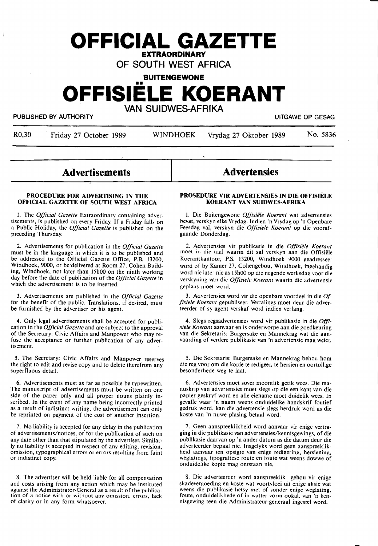# **OFFICIAL GAZETTE EXTRAORDINARY** \_

OF SOUTH WEST AFRICA

**BUITENGEWONE** 

# **OFFISIELE KOERANT**  VAN SUIDWES-AFRIKA

PUBLISHED BY AUTHORITY **EXECUTE A SECURE 2018 THE SECURE 2019 OF SESAGRAPH** UITGAWE OP GESAG

Ì

R0,30 Friday 27 October 1989 WINDHOEK Vrydag 27 Oktober 1989 No. 5836

-

## **Advertisements**

#### **PROCEDURE FOR ADVERTISING IN THE OFFICIAL GAZETTE OF SOUTH WEST AFRICA**

1. The *Official Gazette* Extraordinary containing advertisements, is published on every Friday. If a Friday falls on a Public Holiday, the *Official Gazette* is published on the preceding Thursday.

2. Advertisements for publication in the *Official Gazette*  must be in the language in which it is to be published and be addressed to the Official Gazette Office, P.B. 13200, Windhoek, **9000,** or be·delivered at Room 27, Cohen Build**ing,** Windhoek, not later than 15h00 on the ninth working day before the date Of publication of the *Official Gazette* in which the advertisement is to be inserted.

3. Advertisements are published in the *Official Gazette*  for the benefit of the public. Translations, if desired, must be furnished by the advertiser or his agent.

4. Only legal advertisements shall be accepted for publication in the *Official Gazette* and are subject to the approval of the Secretary: Civic Affairs and Manpower who may refuse the acceptance or further publication of any advertisement.

*S.* The Secretary: Civic Affairs and Manpower reserves the right to edit and revise copy and to delete therefrom any superfluous detail.

6. Advertisements must as far as possible be typewritten. side of the paper only and all proper nouns plainly inscribed. In the event of any name being incorrectly printed as a result of indistinct writing, the advertisement can only be reprinted on payment of the cost of another insertion.

7. No liability is accepted for any delay in the publication of advertisements/notices, or for the publication of such on any date other than that stipulated by the advertiser. Similarly no liability is accepted in respect of any editing, revision, omission, typographical errors or errors resulting from faint or indistinct copy.

8. The advertiser will be held liable for all compensation and costs arising from any action which may be instituted against the Administrator-General as a result of the publica- tion of a notice with or without any omission, errors, lack of clarity or in any form whatsoever.

**Advertensies** 

#### **PROSEDURE VIR ADVERTENSIES IN DIE OFFISIELE KOERANT VAN SUIDWES-AFRIKA**

l. Die Buitengewone *Offisiele Koerant* wat advertensies bevat, verskyn elke Vrydag. Indien 'n Vrydag op 'n Openbare Feesdag val, verskyn die *Offisiele Koerant* op die voorafgaande Donderdag.

2. Advertensies vir publikasie in die *Offisiele Koerant*  moet in die taal waarin dit sal verskyn aan die Offisiele Koerantkantoor, P.S. 13200, Windhoek 9000 geadresseer word of by Kamer 27, Cohengebou, Windhoek, ingehandig word nie later nie as 15h00 op die negende werksdag voor die verskyning van die *Offisiele Koerant* waarin die advertensie geplaas moet word.

3. Advertensies word vir die openbare voordeel in die\_ *Offisiele Koerant* gepubliseer. Vertalings moet deur die adverteerder of sy agent verskaf word indien verlang.

4. Slegs regsadvertensies word vir publikasie in die *Offisiele Koerant* aanvaar en is onderworpe aan die goedkeuring van die Sekretaris: Burgersake en Mannekrag wat die aanvaarding of verdere publikasie van 'n advertensie mag weier.

*5.* Die Sekretaris: Burgersake en Mannekrag behou horn die reg voor om die kopie te redigeer, te hersien en oortollige besonderhede weg te laat.

6. Advertensies moet sover moontlik getik wees. Die manuskrip van advertensies moet slegs op die een kant van die papier geskryf word en alle eiename moet duidelik wees. In gevalle waar 'n naam weens onduidelike handskrif foutief gedruk word, kan die advertensie slegs herdruk word as die koste van 'n nuwe plasing betaal word.

7. Geen aanspreeklikheid word aanvaar vir enige vertraging in die publikasie van advertensies/kennisgewings, of die publikasie daarvan op 'n ander datum as die datum deur die adverteerder bepaal nie. Insgelyks word geen aanspreeklikheid aanvaar ten opsigte van enige redigering, hersiening, weglatings, tipografiese foute en foute wat weens dowwe of onduidelike kopie mag ontstaan nie.

8. Die adverteerder word aanspreeklik gehou vir enige weens die publikasie hetsy met of sonder enige weglating, foute, onduidelikhede of in watter vorm ookal, van 'n kennisgewing teen die Administrateur-generaal ingestel word.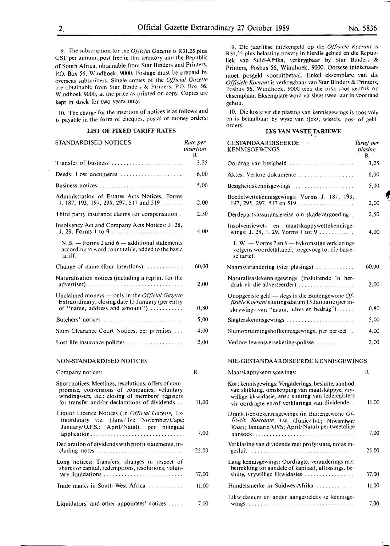9. The subscription for the *Official Gazette* is R31.25 plus GST per annum, post free in this territory and the Republic of South Africa, obtainable from Star Binders and Printers, P.O. Box 56, Windhoek, 9000. Postage must be prepaid by overseas subscribers. Single copies of the *Official Gazette*  are obtainable from Star Binders & Printers, P.O. Box 56, Windhoek 9000, at the price as printed on copy. Copies are **kept** in stock for two years only.

IO. The charge for the insertion of notices is as follows and is payable in the form of cheques, pqstal or money orders:

#### **LIST OF FIXED TARIFF RATES**

| STANDARDISED NOTICES                                                                                                                                                                                      | Rate per<br>insertion<br>R |
|-----------------------------------------------------------------------------------------------------------------------------------------------------------------------------------------------------------|----------------------------|
| Transfer of business                                                                                                                                                                                      | 3,25                       |
| Deeds: Lost documents                                                                                                                                                                                     | 6,00                       |
| Business notices                                                                                                                                                                                          | 5,00                       |
| Administration of Estates Acts Notices, Forms<br>J. 187, 193, 197, 295, 297, 517 and 519                                                                                                                  | 2,00                       |
| Third party insurance claims for compensation.                                                                                                                                                            | 2,50                       |
| Insolvency Act and Company Acts Notices: J. 28,<br>J. 29. Forms 1 to 9                                                                                                                                    | 4,00                       |
| $N.B.$ — Forms 2 and $6$ — additional statements<br>according to word count table, added to the basic<br>tariff.                                                                                          |                            |
| Change of name (four insertions) $\ldots$                                                                                                                                                                 | 60,00                      |
| Naturalisation notices (including a reprint for the<br>advertiser)                                                                                                                                        | 2,00                       |
| Unclaimed moneys - only in the Official Gazette<br>Extraordinary, closing date 15 January (per entry<br>of "name, address and amount")                                                                    | 0,80                       |
| Butchers' notices                                                                                                                                                                                         | 5,00                       |
| Slum Clearance Court Notices, per premises                                                                                                                                                                | 4,00                       |
| Lost life insurance policies                                                                                                                                                                              | 2,00                       |
| <b>NON-STANDARDISED NOTICES</b>                                                                                                                                                                           |                            |
| Company notices:                                                                                                                                                                                          | R                          |
| Short notices: Meetings, resolutions, offers of com-<br>promise, conversions of companies, voluntary<br>windings-up, etc.: closing of members' registers<br>for transfer and/or declarations of dividends | 11,00                      |
| Liquor Licence Notices (In Official Gazette, Ex-<br>traordinary viz. (June/Tvl; November/Cape;<br>January/O.F.S.; April/Natal), per bilingual                                                             | 7,00                       |
| Declaration of dividends with profit statements, in-<br>cluding notes                                                                                                                                     | 25,00                      |
| Long notices: Transfers, changes in respect of<br>shares or capital, redemptions, resolutions, volun-<br>tary liquidations                                                                                | 37,00                      |

9. Die jaarlikse intekengeld op die Offisiële Koerant is R31,25 plus belasting posvry in hierdie gebied en die Republiek van Suid-Afrika, verkrygbaar by Star Binders & Printers, Posbus 56, Windhoek, 9000. Oorsese intekenaars moet posgeld vooruitbetaal. Enkel· eksemplare van die *Offlsiele Koerant* is verkrygbaar van Star Binders & Printers, Posbus 56, Windhoek, 9000 teen die prys soos gedruk op eksemplaar. Eksemplare word vir slegs twee jaar in voorraad gehou.

IO. Die koste vir die plasing van kennisgewings is soos volg en is betaalbaar by wyse van tjeks, wissels, pos- of geldorders:

### **LYS VAN VASTE TARIEWE**

| STANDARDISED NOTICES                                                                                                                                                                                      | Rate per<br>insertion<br>R | <b>GESTANDAARDISEERDE</b><br><b>KENNISGEWINGS</b>                                                                                                                                                              | Tarief per<br>plasing<br>R |
|-----------------------------------------------------------------------------------------------------------------------------------------------------------------------------------------------------------|----------------------------|----------------------------------------------------------------------------------------------------------------------------------------------------------------------------------------------------------------|----------------------------|
| Transfer of business                                                                                                                                                                                      | 3,25                       | Oordrag van besigheid                                                                                                                                                                                          | 3,25                       |
| Deeds: Lost documents                                                                                                                                                                                     | 6,00                       | Aktes: Verlore dokumente                                                                                                                                                                                       | 6,00                       |
| Business notices                                                                                                                                                                                          | 5,00                       | Besigheidskennisgewings                                                                                                                                                                                        | 5,00                       |
| Administration of Estates Acts Notices, Forms<br>J. 187, 193, 197, 295, 297, 517 and 519                                                                                                                  | 2,00                       | Boedelwettekennisgewings: Vorms J. 187, 193,<br>197, 295, 297, 517 en 519                                                                                                                                      | 2,00                       |
| Third party insurance claims for compensation.                                                                                                                                                            | 2,50                       | Derdepartyassuransie-eise om skadevergoeding.                                                                                                                                                                  | 2,50                       |
| Insolvency Act and Company Acts Notices: J. 28,                                                                                                                                                           | 4,00                       | Insolvensiewet- en maatskappywettekennisge-<br>wings: J. 28, J. 29. Vorms 1 tot 9                                                                                                                              | 4,00                       |
| $N.B.$ - Forms 2 and $6$ - additional statements<br>according to word count table, added to the basic<br>tariff.                                                                                          |                            | $L.W. - V \text{orms } 2 \text{ en } 6 - \text{bykomstige verklarings}$<br>volgens woordetaltabel, toegevoeg tot die basie-<br>se tarief.                                                                      |                            |
| Change of name (four insertions) $\dots\dots\dots$                                                                                                                                                        | 60,00                      | Naamsverandering (vier plasings)                                                                                                                                                                               | 60,00                      |
| Naturalisation notices (including a reprint for the<br>advertiser)                                                                                                                                        | 2,00                       | Naturalisasiekennisgewings (insluitende 'n her-<br>druk vir die adverteerder)                                                                                                                                  | 2,00                       |
| Unclaimed moneys - only in the Official Gazette<br>Extraordinary, closing date 15 January (per entry<br>of "name, address and amount")                                                                    | 0,80                       | Onopgeëiste geld — slegs in die Buitengewone $Of$ -<br>fisiële Koerant sluitingsdatum 15 Januarie (per in-<br>skrywings van "naam, adres en bedrag")                                                           | 0,80                       |
| Butchers' notices $\ldots \ldots \ldots \ldots \ldots \ldots \ldots$                                                                                                                                      | 5,00                       | Slagterskennisgewings                                                                                                                                                                                          | 5,00                       |
| Slum Clearance Court Notices, per premises                                                                                                                                                                | 4,00                       | Slumopruimingshofkennisgewings, per perseel                                                                                                                                                                    | 4,00                       |
| Lost life insurance policies                                                                                                                                                                              | 2,00                       | Verlore lewensversekeringspolisse                                                                                                                                                                              | 2,00                       |
| <b>NON-STANDARDISED NOTICES</b>                                                                                                                                                                           |                            | NIE-GESTANDAARDISEERDE KENNISGEWINGS                                                                                                                                                                           |                            |
| Company notices:                                                                                                                                                                                          | $\mathbb{R}$               | Maatskappykennisgewings:                                                                                                                                                                                       | R                          |
| Short notices: Meetings, resolutions, offers of com-<br>promise, conversions of companies, voluntary<br>windings-up, etc.: closing of members' registers<br>for transfer and/or declarations of dividends | 11,00                      | Kort kennisgewings: Vergaderings, besluite, aanbod<br>van skikking, omskepping van maatskappye, vry-<br>willige likwidasie, ens.: sluiting van lederegisters<br>vir oordragte en/of verklarings van dividende. | 11,00                      |
| Liquor Licence Notices (In Official Gazette, Ex-<br>traordinary viz. (June/Tvl; November/Cape;<br>January/O.F.S.; April/Natal), per bilingual                                                             | 7.00                       | Dranklisensiekennisgewings (in Buitengewone Of-<br>fisiële Koerante, t.w. (Junie/Tvl.; November/<br>Kaap; Januarie/OVS; April/Natal) per tweetalige<br>aansoek                                                 | 7,00                       |
| Declaration of dividends with profit statements, in-<br>cluding notes                                                                                                                                     | 25,00                      | Verklaring van dividende met profytstate, notas in-                                                                                                                                                            | 25,00                      |
| Long notices: Transfers, changes in respect of<br>shares or capital, redemptions, resolutions, volun-<br>tary liquidations                                                                                | 37,00                      | Lang kennisgewings: Oordragte, veranderings met<br>betrekking tot aandele of kapitaal, aflossings, be-<br>sluite, vrywillige likwidasies                                                                       | 37,00                      |
| Trade marks in South West Africa                                                                                                                                                                          | 11,00                      | Handelsmerke in Suidwes-Afrika                                                                                                                                                                                 | 11,00                      |
| Liquidators' and other appointees' notices                                                                                                                                                                | 7,00                       | Likwidateurs en ander aangesteldes se kennisge-                                                                                                                                                                | 7,00                       |

**f**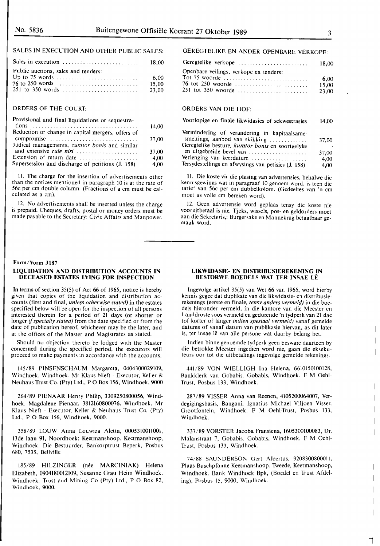## SALES IN EXECUTION AND OTHER PUBLIC SALES:

| Sales in execution $\ldots \ldots \ldots \ldots \ldots \ldots \ldots$ 18,00 |       |
|-----------------------------------------------------------------------------|-------|
| Public auctions, sales and tenders:                                         |       |
|                                                                             | 6.00  |
|                                                                             | 15.00 |
|                                                                             | 23.00 |

#### ORDERS OF THE COURT:

| Provisional and final liquidations or sequestra-  | 14.00 |
|---------------------------------------------------|-------|
| Reduction or change in capital mergers, offers of |       |
| compromise                                        | 37,00 |
| Judical managements, curator bonis and similar    |       |
| and extensive rule nisi                           | 37,00 |
| Extension of return date                          | 4.00  |
| Supersession and discharge of petitions (J. 158)  | 4.00  |

11. The charge for the insertion of advertisements other than the notices mentioned in paragraph IO is at the rate of 56c per cm double column. (Fractions of a cm must be calculated as a cm).

12. No advertisements shall be inserted unless the charge is prepaid. Cheques, drafts, postal or money orders must be made payable to the Secretary: Civic Affairs and Manpower.

#### **Form/Vorm J 187**

#### **LIQUIDATION AND DISTRIBUTION ACCOUNTS IN DECEASED ESTATES LYING FOR INSPECTION**

In terms of section 35(5) of Act 66 of 1965, notice is hereby given that copies of the liquidation and distribution accounts (first and final, *unless otherwise stated)* in the estates specified below will be open for the inspection of all persons interested therein for a period of 21 days (or shorter or longer if *specially stated)* from the date specified or from the date of publication hereof, whichever may be the later, and at the offices of the Master and Magistrates as stated.

Should no objection thereto be lodged with the Master concerned during the specified period, the executors will proceed to make payments in accordance with the accounts.

145/89 PINSENSCHAUM Margareta, 0404300029109, Windhoek. Windhoek. Mr Klaus Nieft - Executor, Keller & Neuhaus Trust Co. (Pty) Ltd., PO Box 156, Windhoek, 9000

**264/89** PIENAAR Henry Philip, 3309250800056, Windhoek. Magdalene Pienaar, 3812160800076. Windhoek. Mr Klaus Nieft - Executor, Keller & Neuhaus Trust Co. (Pty) Ltd., PO Box 156, Windhoek, 9000.

358/89 LOUW Anna Louwiza Aletta, 0005310011001, 13de laan 91, Noordhoek: Keetmanshoop. Keetmanshoop, Windhoek. Die Bestuurder, Bankorptrust Beperk, Posbus 680, 7535, Bellville.

185/89 HILZINGER (née MARCINIAK) Helena Elizabeth, 0904180012109, Susanne Grau Heim Windhoek. Windhoek. Trust and Mining Co (Pty) Ltd., P O Box 82, Windhoek, 9000.

### GEREGTELIKE EN ANDER OPENBARE VERKOPE:

| Geregtelike verkope                    | 18.00 |
|----------------------------------------|-------|
| Openbare veilings, verkope en tenders: |       |
| Tot 75 woorde                          | 6.00  |
| 76 tot 250 woorde                      | 15.00 |
|                                        | 23.00 |

### ORDERS VAN DIE HOF:

| Voorlopige en finale likwidasies of sekwestrasies                                                                                                                                                                                                   |                                |
|-----------------------------------------------------------------------------------------------------------------------------------------------------------------------------------------------------------------------------------------------------|--------------------------------|
| Vermindering of verandering in kapitaalsame-<br>smeltings, aanbod van skikking<br>Geregtelike besture, kurator bonis en soortgelyke<br>en uitgebreide bevel nisi<br>Verlenging van keerdatum<br>Tersydestellings en afwysings van petisies (J. 158) | 37,00<br>37,00<br>4.00<br>4,00 |
|                                                                                                                                                                                                                                                     |                                |

11. Die koste vir die plasing van advertensies, behalwe die kennisgewings wat in paragraaf 10 genoem word. is teen die tarief van 56c per cm dubbelkolom. (Gedeeltes van 'n cm moet as volle cm bereken word).

12. Geen advertensie word geplaas tensy die koste nie vooruitbetaal is nie. Tjeks, wissels, pos- en geldorders moet aan die Sekretaris,: Burgersake en Mannekrag betaalbaar gemaak word.

#### **LIKWIDASIE- EN DISTRIBUSIEREKENING IN BES10RWE BOEDELS WAT TER INSAE LE**

lngevolge artikel 35(5) van Wet 66 van 1965, word hierby kennis gegee dat duplikate van die Iikwidasie- en distribusierekenings (eerste en finale, *tensy anders vermeld)* in die boedels hieronder vermeld, in die kantore van die Meester en Landdroste soos vermeld en gedurende 'n tydperk van 21 dae (of korter of !anger *indien spesiaal vermeld)* vanaf gemelde datums of vanaf datum van publikasie hiervan, as dit later is, ter insae lê van alle persone wat daarby belang het.

Indien binne genoemde tydperk geen besware daarteen by die betrokke Meester ingedien word nie, gaan die eksekuteurs oor tot die uitbetalings ingevolge gemelde rekenings.

441/89 VON WIELLIGH Ina Helena, 6610150100128, Bankklerk van Gobabis. Gobabis, Windhoek. F M Oehl-Trust, Posbus 133, Windhoek.

287 /89 VISSER Anna van Reenen, 4105200064007, Verdegigingsbasis, Bangani. Ignatius Michael Viljoen Visser. Grootfontein, Windhoek. F M Oehl-Trust, Posbus 133, Windhoek.

337/89 VORSTER Jacoba Fransiena, 1605300100083, Dr. Malanstraat 7, Gobabis. Gobabis, Windhoek. F M Oehl-Trust, Posbus 133, Windhoek.

74/88 SAUNDERSON Gert Albertus, 9208300800011, Plaas Buschpfanne Keetmanshoop. Tweede, Keetmanshoop, Windhoek. Bank Windhoek Bpk, (Boedel en Trust Afdeling), Posbus 15, 9000, Windhoek.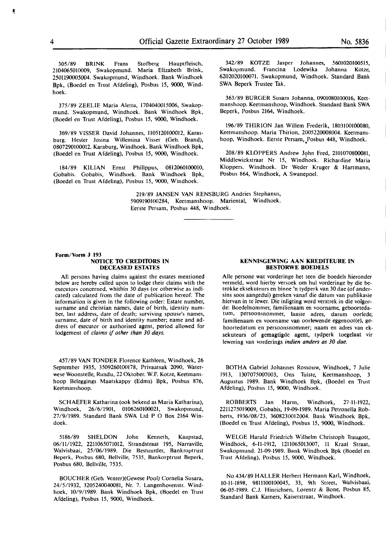305/89 **BRINK** Frans Stofberg Hauptfleisch, 2104065010009, Swakopmund. Maria Elizabeth Brink, 2501190005004. Swakopmund, Windhoek. Bank Windhoek Bpk, (Roedel en Trust Afdeling), Posbus 15, 9000, Windhoek.

375/89 ZEELIE Maria Aletta, 1704040015006, Swakopmund. Swakopmund, Windhoek. Bank Windhoek Bpk, (Boedel en Trust Afdeling), Posbus 15, 9000, Windhoek.

369/89 VISSER David Johannes, 1105120100012, Karasburg. Hester Josina Willemina Visser (Geb. Brand), 0807290100012. Karaburg, Windhoek. Bank Windhoek Bpk, (Boedel en Trust Afdeling), Posbus 15, 9000, Windhoek.

184/89 KILIAN Ernst Philippus, 0812060100010, Gobabis. Gobabis, Windhoek. Bank Windhoek Bpk, (Boedel en Trust Afdeling), Posbus 15, 9000, Windhoek.

342/89 KOTZE Jasper Johannes, **560I020100SIS,**  Swakopmund. Francina Lodewika Johanna Kotze, 6202020100071. Swakopmund, Windhoek. Standard Bank SWA Beperk Trustee Tak.

363/89 BURGER Susara Johanna, 0901080100016, Keetmanshoop. Keetmanshoop, Windhoek. Standard Bank SWA Beperk, Posbus 2164, Windhoek.

196/89 THIRION Jan Willem Frederik, 1803100100080, Keetmanshoop. Maria Thirion, 2005220008004. Keetmanshoop, Windhoek. Eerste Persam, \_Posbus 448, Windhoek.

208/89 KLOPPERS Andrew John Fred, 2101070800081, Middlewickstraat Nr 15, Windhoek. Richardine Maria Kloppers. Windhoek. Dr Weder Kruger & Hartmann, Posbus 864, Windhoek, A Swanepoel.

**219/89 JANSEN VAN RENSBURG Andries Stephanus,**  5909190100284, Keetmanshoop. Mariental, Windhoek. Eerste Persam, Posbus 448, Windhoek.

#### **Form/Vorm J 193 NOTICE TO CREDITORS IN DECEASED ESTATES**

All persons having claims against the estates mentioned below are hereby called upon to lodge their claims with the executors concerned, whithin 30 days (or otherwise as indicated) calculated from the date of publication hereof. The information is given in the following order: Estate number, surname and christian names, date of birth, identity number, last address, date of death; surviving spouse's names, surname, date of birth and identity number; name and address of executor or authorised agent, period allowed for lodgement of *claims if other than 30 days.* 

457/89 VAN TONDER Florence Kathleen, Windhoek, 26 September 1935, 3509260100178, Privaatsak 2090, Waterwese Woonstelle, Rundu, 22 Oktober. W.F. Kotze, Keetmanshoop Beleggings Maatskappy (Edms) Bpk, Posbus 876, Keetmanshoop.

SCHAEFER Katharina (ook bekend as Maria Katharina), Windhoek, 26/6/1901, 0106260100021, Swakopmund, 27/9/1989. Standard Bank SWA Ltd P O Box 2164 Windoek.

5186/89 SHELDON John Kenneth, Kaapstad, 06/11/1922, 2211065071012, Strandstraat 195, Narraville, Walvisbaai, 25/06/1989. Die Bestuurder, Bankroptrust Beperk, Posbus 680, Bellville, 7535, Bankorptrust Beperk, Posbus 680, Bellville, 7535.

BOUCHER (Geb. Venter)(Gewese Pool) Cornelia Susara, 24/5/1932, 3205240040081, Nr. 7. Langenhovenstr. Windhoek, 10/9/1989. Bank Windhoek Bpk, (Boedel en Trust Afdeling), Posbus 15, 9000, Windhoek.

#### **KENNISGEWING AAN KREDITEURE IN BESTORWE BOEDELS**

Alie persone wat vorderinge het teen die boedels hieronder vermeld, word hierby versoek om hul vorderinge by die betrokke eksekuteurs en binne 'n tydperk van 30 dae (of andersins soos aangedui) gereken vanaf die datum van publikasie hiervan in te lewer. Die inligting word verstrek in die volgorde: Boedelnommer, familienaam en voorname, geboortedatum, persoonsnommer, laaste adres, datum oorlede, familienaam en voorname van oorlewende eggenoot(e), geboortedatum en persoonsnommer; naam en adres van eksekuteurs of gemagtigde agent, tydperk toegelaat vir lewering van vorderings *indien anders as 30 dae.* 

BOTHA Gabriel Johannes Rossouw, Windhoek, 7 Julie 1913, 1307075007003, Ons Tuiste, Keetmanshoop, 3 Augustus 1989. Bank Windhoek Bpk, (Boedel en Trust Afdeling), Posbus 15, 9000, Windhoek.

ROBBERTS Jan Harm, Windhoek, 27-11-1922, 2211275019009, Gobabis, 19-09-1989. Maria Petronella Robberts, 1936/08/23, 3608230012004. Bank Windhoek Bpk, (Boedel en Trust Afdeling), Posbus 15, 9000, Windhoek.

WELGE Harald Friedrich Wilhelm Christoph Traugott, Windhoek, 6-11-1912, 1211065013007, 11 Kraal Straat, Swakopmund. 21-09-1989. Bank Windhoek Bpk (Boedel en Trust Afdeling), Posbus 15, 9000, Windhoek.

No 434/89 HALLER Herbert Hermann Karl, Windhoek, 10-11-1898, 9811100100045, 33, 9th Street, Walvisbaai, 06-05-1989. C.J. Hinrichsen, Lorentz & Bone, Posbus 85, Standard Bank Kamers, Kaiserstraat, Windhoek.

Ų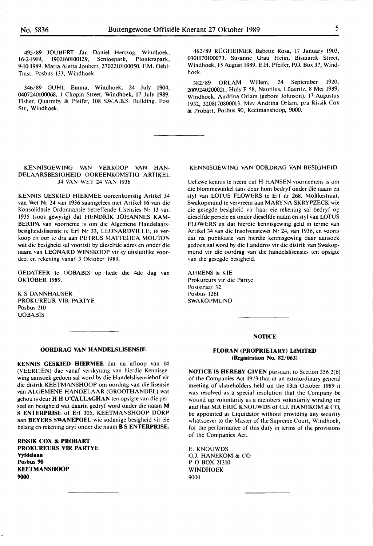495/89 JOUBERT Jan Daniël Hertzog, Windhoek,<br>62-1919. 1902160100129. Senioepark. Pionierspark. 16-2-1919, 1902160100129, Senioepark, 9-10-1989. Maria Aletta Joubert, 2702210100050. F.M. Oehl-Trust, Posbus 133, Windhoek.

346/89 GUHL Emma, Windhoek, 24 July 1904, 0407240100068, 1 Chopin Street, Windhoek, 17 July 1989. Fisher, Quarmby & Pfeifer, 108 S.W.A.B.S. Building. Post Str., Windhoek.

462/89 RÜGHEIMER Babette Rosa, 17 January 1903, 0301170100073, Susanne Grau Heim, Bismarck Street, Windhoek, 15 August 1989. E.H. Pfeifer, P.O. Box 37, Windhoek.

382/89 ORLAM Willem, 24 September 1920, 2009240200021, Huis F 58, Nautilus, Luderitz, 8 Mei 1989, Windhoek. Andrina Orlam (gebore Johnson), 17 Augustus 1932, 3208170800013. Mev Andrina Orlam, p/a Rissik Cox & Probart, Posbus 90, Keetmanshoop, 9000.

#### KENNISGEWING VAN VERKOOP VAN HAN-DELAARSBESIGHEID OOREENKOMSTIG ARTIKEL 34 VAN WET 24 VAN 1936

KENNIS GESKIED HIERMEE ooreenkomstig Artikel 34 van Wet Nr 24 van 1936 saamgelees met Artikel 16 van die Konsolidasie Ordonnansie betreffende Lisensies Nr 13 van 1935 (soos gewysig) dat HENDRIK JOHANNES KAM-BERIPA van voorneme is om die Algemene Handelaarsbesigheidslisensie te Erf Nr 33, LEONARDVILLE, te verkoop en oor te dra aan PETRUS MATTEHEA MOUTON wat die besigheid sat voortsit by dieselfde adres en onder die naam van LEONARD WINSKOOP vir sy uitsluitlike voordeel en rekening vanaf 3 Oktober 1989.

GEDATEER te GOBABIS op hede die 4de dag van **OKTOBER** 1989.

**K** S DANNHAUSER PROKUREUR VIR PARTYE Posbus 210 GOBABIS

#### **OORDRAG VAN HANDELSLISENSIE**

**KENNIS GESKIED HIERMEE** dat na afloop van 14 (VEERflEN) dae vanaf verskyning van hierdie Kennisgewing aansoek gedoen sat word by die Handelslisensiehof vir die distrik KEETMANSHOOP om oordrag van die lisensie van ALGEMENE HANDELAAR (GROOfHANDEL) wat gehou is deur **H H O'CALLAGHAN** ten opsigte van die perseel en besigheid wat daarin gedryf word onder die naam **M S ENTERPRISE** of Erf 305, KEETMANSHOOP DORP aan **BEYERS SWANEPOEL** wie sodanige besigheid vir eie belang en rekening dryf onder die naam **B S ENTERPRISE.** 

**RISSIK COX** & **PROBART PROKUREURS VIR PARTYE Vyfdelaan Posbus 90 KEETMANSHOOP 9000** 

#### KENNISGEWING VAN OORDRAG VAN BESIGHEID

Geliewe kennis te neem dat H HANSEN voornemens is om die blommewinkel tans deur horn bedryf onder die naam en styl van LOTUS FLOWERS te Erf nr 268, Moltkestraat, Swakopmund te vervreem aan **MARYNA** SKRYPZECK wie die gesegde besigheid vir haar eie rekening sat bedryf op dieselfde persele en onder dieselfde naam en styl van LOTUS FLOWERS en dat hierdie kennisgewing geld in terme van Artikel 34 van die lnsolvensiewet Nr 24, van 1936, en voorts dat na publikasie van hierdie kennisgewing daar aansoek gedoen sat word by die Landdros vir die distrik van Swakopmund vir die oordrag van die handelslisensies ten opsigte van die gesegde besigheid.

AHRENS & **KIE**  Prokureurs vir die Partye Poststraat 32 Posbus 1261 SWAKOPMUND

#### **NOfICE**

#### **FLORAN (PROPRIETARY) LIMITED (Registration No. 82/063)**

**NOfICE IS HEREBY GIVEN** pursuant to Section 356 2(b) of the Companies Act 1973 that at an extraordinary general meeting of shareholders held on the 13th October 1989 it was resolved as a special resolution that the Company be wound up voluntarily as a members voluntarily winding up and that MR ERIC KNOUWDS of G.J. HANEKOM & CO, be appointed as Liquidator without providing any security whatsoever to the Master of the Supreme Court, Windhoek, for the performance of this duty in terms of the provisions of the Companies Act.

E. KNOUWDS G.J. HANEKOM & CO PO BOX 21310 WINDHOEK 9000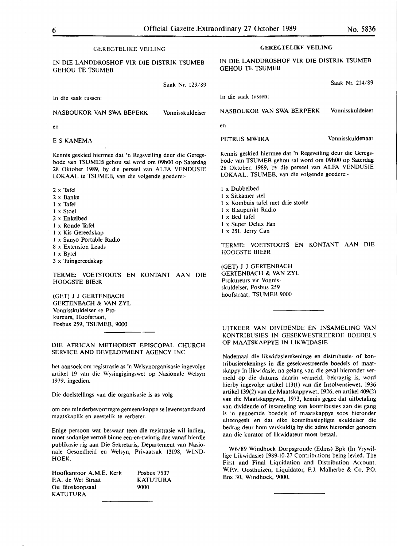#### GEREGTELIKE VEILING IN DIE LANDDROSHOF VIR DIE DISTRIK TSUMEB GEHOU TE TSUMEB Saak Nr. 129/89 In die saak tussen: NASBOUKOR VAN SWA BEPERK Vonnisskuldeiser en ES **KANEMA**  Kennis geskied hiermee dat 'n Regsveiling deur die Geregsbode van TSUMEB gehou sal word om 09h00 op Saterdag 28 Oktober 1989, by die perseel van ALFA VENDUSIE l.OKAAL te TSUMEB, van die volgende goedere:- 2 x Tafel 2 x Banke 1 x Tafel I x Stoel 2 x Enkelbed 1 x Ronde Tafel I x Kis Gereedskap I x Sanyo Portable Radio 8 x Extension Leads I x Byte! 3 x Tuingereedskap TERME: VOETSTOOTS EN KONTANT AAN DIE HOOGSTE BIEeR (GET) J J GERTENBACH GERTENBACH & VAN ZYL Vonnisskuldeiser se Prokureurs, Hoofstraat, Posbus 259, TSUMEB, 9000 **GEREGTELIKE VEILING**  IN DIE LANDDROSHOF VIR DIE **DISTRIK** TSUMEB GEHOU TE TSUMEB Saak Nr. 214/89 In die saak tussen: NASBOUKOR VAN SWA BERPERK Vonnisskuldeiser en PETRUS MWIRA **Vonnisskuldenaar** Kennis geskied hiermee dat 'n Regsveiling deur die Geregsbode van TSUMEB gehou sal word om 09h00 op Saterdag 28 Oktober, 1989, by die perseel van ALFA VENDUSIE l.OKAAL, TSUMEB, van die volgende goedere:- 1 x Dubbelbed I x Sitkamer stel 1 x Kombuis tafel met drie stoele 1 x Blaupunkt Radio I x Bed tafel 1 x Super Delux Fan I x 25L Jerry Can TERME: VOETSTOOTS EN KONTANT AAN DIE HOOGSTE BIEeR (GET) J J GERTENBACH GERTENBACH & VAN ZYL Prokureurs vir Vonnisskuldeiser, Posbus 259 hoofstraat, TSUMEB 9000 UITKEER VAN DIVIDENDE EN INSAMELING VAN KONTRIBUSIES IN GESEKWESTREERDE BOEDELS OF **MAATSKAPPYE IN LIKWIDASIE**

Nademaal die likwidasierekeninge en distrubusie- of kontribusierekenings in die gesekwestreerde boedels of maatskappy in likwidasie, na gelang van die geval hieronder vermeld op die datums daarin vermeld, bekragtig is, word hierby ingevolge artikel 113(1) van die Insolvensiewet, 1936 artikel 139(2) van die Maatskappywet, 1926, en artikel 409(2) van die Maatskappywet, 1973, kennis gegee dat uitbetaling van dividende of insameling van kontribusies aan die gang is in genoemde boedels of maatskappye soos hieronder uiteengesit en dat elke kontribusiepligte skuldeiser die bedrag deur horn verskuldig by die adres hieronder genoem aan die kurator of likwidateur moet betaal.

W6/89 Windhoek Dorpsgronde (Edms) Bpk (In Vrywillige Likwidasie) 1989-10-27 Contributions being levied. The First and Final Liquidation and Distribution Account. W.P.V. Oosthuizen, Liquidator, P.J. Malherbe & Co, P.O. Box 30, Windhoek, 9000.

#### DIE AFRICAN METHODIST EPISCOPAL CHURCH SERVICE AND DEVELOPMENT AGENCY INC

het aansoek om registrasie as 'n Welsynorganisasie ingevolge artikel 19 van die Wysingigingswet op Nasionale Welsyn 1979, ingedien.

Die doelstellings van die organisasie is as volg

om ons minderbevoorregte gemeenskappe se lewenstandaard maatskaplik en geestelik te verbeter.

Enige persoon wat beswaar teen die registrasie wil indien, moet sodanige vertoe binne een-en-twintig dae vanaf hierdie publikasie rig aan Die Sekretaris, Departement van Nasionale Gesondheid en Welsyn, Privaatsak 13198, **WIND-HOEK.** 

Hoofkantoor A.M.E. Kerk P.A. de Wet Straat Ou Bioskoopsaal KATUTURA Posbus 7537 KATUTURA 9000